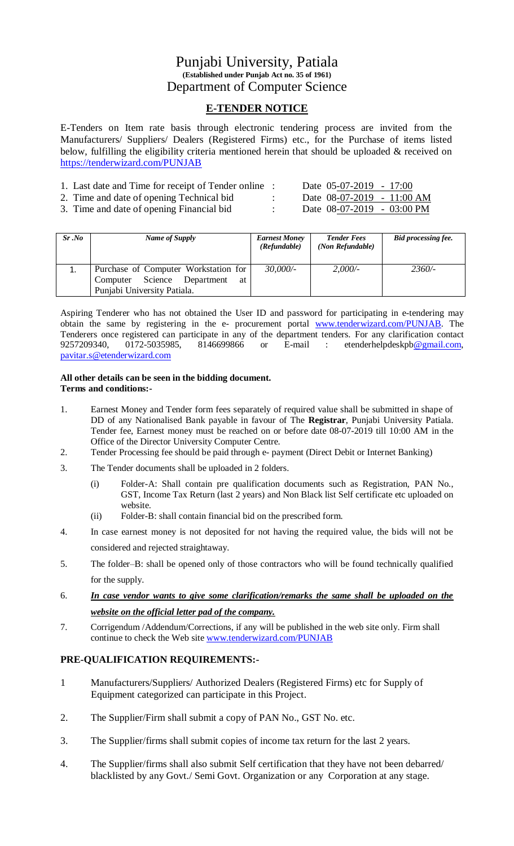# Punjabi University, Patiala **(Established under Punjab Act no. 35 of 1961)** Department of Computer Science

## **E-TENDER NOTICE**

E-Tenders on Item rate basis through electronic tendering process are invited from the Manufacturers/ Suppliers/ Dealers (Registered Firms) etc., for the Purchase of items listed below, fulfilling the eligibility criteria mentioned herein that should be uploaded & received on <https://tenderwizard.com/PUNJAB>

| 1. Last date and Time for receipt of Tender online : | Date $05-07-2019 - 17:00$            |
|------------------------------------------------------|--------------------------------------|
| 2. Time and date of opening Technical bid            | Date $08-07-2019 - 11:00 AM$         |
| 3. Time and date of opening Financial bid.           | Date $08-07-2019 - 03:00 \text{ PM}$ |

| Sr .No | Name of Supply                          | <b>Earnest Money</b><br>(Refundable) | <b>Tender Fees</b><br>(Non Refundable) | Bid processing fee. |
|--------|-----------------------------------------|--------------------------------------|----------------------------------------|---------------------|
| 1.     | Purchase of Computer Workstation for    | 30,000/                              | 2,000/                                 | $2360/-$            |
|        | Department<br>Science<br>Computer<br>at |                                      |                                        |                     |
|        | Punjabi University Patiala.             |                                      |                                        |                     |

Aspiring Tenderer who has not obtained the User ID and password for participating in e-tendering may obtain the same by registering in the e- procurement portal [www.tenderwizard.com/PUNJAB.](http://www.tenderwizard.com/PUNJAB) The Tenderers once registered can participate in any of the department tenders. For any clarification contact 9257209340, 0172-5035985, 8146699866 or E-mail: etenderhelpdeskpb@gmail.com, or E-mail : etenderhelpdeskp[b@gmail.com,](mailto:@gmail.com) [pavitar.s@etenderwizard.com](mailto:pavitar.s@etenderwizard.com)

#### **All other details can be seen in the bidding document. Terms and conditions:-**

- 1. Earnest Money and Tender form fees separately of required value shall be submitted in shape of DD of any Nationalised Bank payable in favour of The **Registrar**, Punjabi University Patiala. Tender fee, Earnest money must be reached on or before date 08-07-2019 till 10:00 AM in the Office of the Director University Computer Centre.
- 2. Tender Processing fee should be paid through e- payment (Direct Debit or Internet Banking)
- 3. The Tender documents shall be uploaded in 2 folders.
	- (i) Folder-A: Shall contain pre qualification documents such as Registration, PAN No., GST, Income Tax Return (last 2 years) and Non Black list Self certificate etc uploaded on website.
	- (ii) Folder-B: shall contain financial bid on the prescribed form.
- 4. In case earnest money is not deposited for not having the required value, the bids will not be considered and rejected straightaway.
- 5. The folder–B: shall be opened only of those contractors who will be found technically qualified for the supply.
- 6. *In case vendor wants to give some clarification/remarks the same shall be uploaded on the website on the official letter pad of the company.*
- 7. Corrigendum /Addendum/Corrections, if any will be published in the web site only. Firm shall continue to check the Web site [www.tenderwizard.com/PUNJAB](http://www.tenderwizard.com/PUNJAB)

## **PRE-QUALIFICATION REQUIREMENTS:-**

- 1 Manufacturers/Suppliers/ Authorized Dealers (Registered Firms) etc for Supply of Equipment categorized can participate in this Project.
- 2. The Supplier/Firm shall submit a copy of PAN No., GST No. etc.
- 3. The Supplier/firms shall submit copies of income tax return for the last 2 years.
- 4. The Supplier/firms shall also submit Self certification that they have not been debarred/ blacklisted by any Govt./ Semi Govt. Organization or any Corporation at any stage.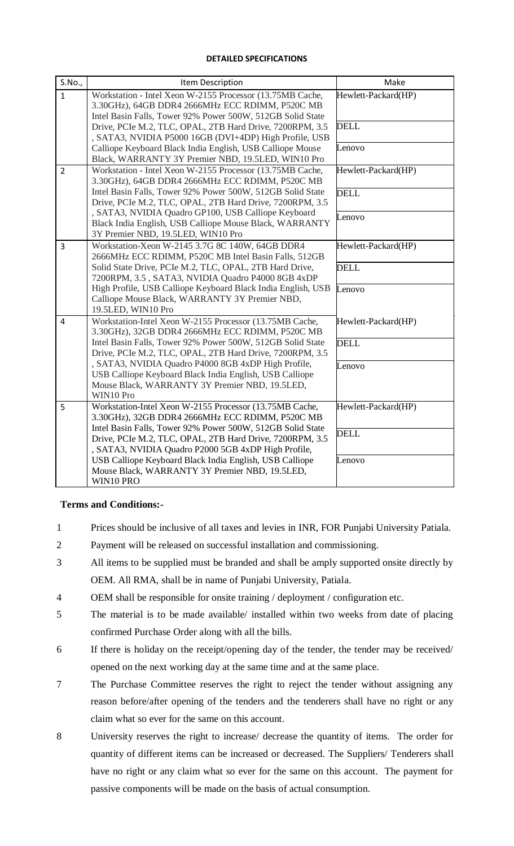#### **DETAILED SPECIFICATIONS**

| S.No.,         | Item Description                                                                                                                                                              | Make                |
|----------------|-------------------------------------------------------------------------------------------------------------------------------------------------------------------------------|---------------------|
| $\mathbf{1}$   | Workstation - Intel Xeon W-2155 Processor (13.75MB Cache,<br>3.30GHz), 64GB DDR4 2666MHz ECC RDIMM, P520C MB<br>Intel Basin Falls, Tower 92% Power 500W, 512GB Solid State    | Hewlett-Packard(HP) |
|                | Drive, PCIe M.2, TLC, OPAL, 2TB Hard Drive, 7200RPM, 3.5<br>, SATA3, NVIDIA P5000 16GB (DVI+4DP) High Profile, USB                                                            | <b>DELL</b>         |
|                | Calliope Keyboard Black India English, USB Calliope Mouse<br>Black, WARRANTY 3Y Premier NBD, 19.5LED, WIN10 Pro                                                               | Lenovo              |
| $\overline{2}$ | Workstation - Intel Xeon W-2155 Processor (13.75MB Cache,<br>3.30GHz), 64GB DDR4 2666MHz ECC RDIMM, P520C MB                                                                  | Hewlett-Packard(HP) |
|                | Intel Basin Falls, Tower 92% Power 500W, 512GB Solid State<br>Drive, PCIe M.2, TLC, OPAL, 2TB Hard Drive, 7200RPM, 3.5                                                        | <b>DELL</b>         |
|                | , SATA3, NVIDIA Quadro GP100, USB Calliope Keyboard<br>Black India English, USB Calliope Mouse Black, WARRANTY<br>3Y Premier NBD, 19.5LED, WIN10 Pro                          | Lenovo              |
| $\overline{3}$ | Workstation-Xeon W-2145 3.7G 8C 140W, 64GB DDR4<br>2666MHz ECC RDIMM, P520C MB Intel Basin Falls, 512GB                                                                       | Hewlett-Packard(HP) |
|                | Solid State Drive, PCIe M.2, TLC, OPAL, 2TB Hard Drive,<br>7200RPM, 3.5, SATA3, NVIDIA Quadro P4000 8GB 4xDP                                                                  | <b>DELL</b>         |
|                | High Profile, USB Calliope Keyboard Black India English, USB<br>Calliope Mouse Black, WARRANTY 3Y Premier NBD,<br>19.5LED, WIN10 Pro                                          | Lenovo              |
| $\overline{4}$ | Workstation-Intel Xeon W-2155 Processor (13.75MB Cache,<br>3.30GHz), 32GB DDR4 2666MHz ECC RDIMM, P520C MB                                                                    | Hewlett-Packard(HP) |
|                | Intel Basin Falls, Tower 92% Power 500W, 512GB Solid State<br>Drive, PCIe M.2, TLC, OPAL, 2TB Hard Drive, 7200RPM, 3.5                                                        | <b>DELL</b>         |
|                | , SATA3, NVIDIA Quadro P4000 8GB 4xDP High Profile,<br>USB Calliope Keyboard Black India English, USB Calliope<br>Mouse Black, WARRANTY 3Y Premier NBD, 19.5LED,<br>WIN10 Pro | Lenovo              |
| 5              | Workstation-Intel Xeon W-2155 Processor (13.75MB Cache,<br>3.30GHz), 32GB DDR4 2666MHz ECC RDIMM, P520C MB                                                                    | Hewlett-Packard(HP) |
|                | Intel Basin Falls, Tower 92% Power 500W, 512GB Solid State<br>Drive, PCIe M.2, TLC, OPAL, 2TB Hard Drive, 7200RPM, 3.5<br>, SATA3, NVIDIA Quadro P2000 5GB 4xDP High Profile, | <b>DELL</b>         |
|                | USB Calliope Keyboard Black India English, USB Calliope<br>Mouse Black, WARRANTY 3Y Premier NBD, 19.5LED,<br>WIN10 PRO                                                        | Lenovo              |

### **Terms and Conditions:-**

- 1 Prices should be inclusive of all taxes and levies in INR, FOR Punjabi University Patiala.
- 2 Payment will be released on successful installation and commissioning.
- 3 All items to be supplied must be branded and shall be amply supported onsite directly by OEM. All RMA, shall be in name of Punjabi University, Patiala.
- 4 OEM shall be responsible for onsite training / deployment / configuration etc.
- 5 The material is to be made available/ installed within two weeks from date of placing confirmed Purchase Order along with all the bills.
- 6 If there is holiday on the receipt/opening day of the tender, the tender may be received/ opened on the next working day at the same time and at the same place.
- 7 The Purchase Committee reserves the right to reject the tender without assigning any reason before/after opening of the tenders and the tenderers shall have no right or any claim what so ever for the same on this account.
- 8 University reserves the right to increase/ decrease the quantity of items. The order for quantity of different items can be increased or decreased. The Suppliers/ Tenderers shall have no right or any claim what so ever for the same on this account. The payment for passive components will be made on the basis of actual consumption.